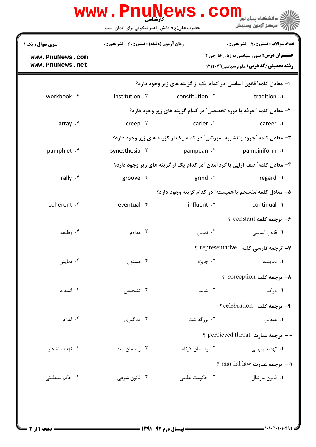| www.PnuNews.com<br>.<br>د انشگاه ييام نو <mark>ر</mark> |                                                                             |                 |                                                                                                  |  |  |
|---------------------------------------------------------|-----------------------------------------------------------------------------|-----------------|--------------------------------------------------------------------------------------------------|--|--|
|                                                         | حضرت علی(ع): دانش راهبر نیکویی برای ایمان است                               |                 | 7' مرڪز آزمون وسنڊش                                                                              |  |  |
| سری سوال : یک ۱                                         | <b>زمان آزمون (دقیقه) : تستی : 60 ٪ تشریحی : 0</b>                          |                 | <b>تعداد سوالات : تستي : 20 ٪ تشريحي : 0</b>                                                     |  |  |
| www.PnuNews.com<br>www.PnuNews.net                      |                                                                             |                 | <b>عنـــوان درس:</b> متون سیاسی به زبان خارجی ۲<br><b>رشته تحصیلی/کد درس: علوم سیاسی ۱۲۱۲۰۳۹</b> |  |  |
|                                                         | ا– معادل کلمه' قانون اساسی' در کدام یک از گزینه های زیر وجود دارد؟          |                 |                                                                                                  |  |  |
| workbook . f                                            | institution Y                                                               | constitution .Y | tradition .1                                                                                     |  |  |
|                                                         |                                                                             |                 | ٢- معادل كلمه "حرفه يا دوره تخصصي" در كدام گزينه هاي زير وجود دارد؟                              |  |  |
| array f                                                 | creep $\cdot$ $\mathsf{r}$                                                  | carier .Y       | career.                                                                                          |  |  |
|                                                         | ۳- معادل کلمه "جزوه یا نشریه آموزشی" در کدام یک از گزینه های زیر وجود دارد؟ |                 |                                                                                                  |  |  |
| pamphlet . f                                            | synesthesia . ٣                                                             | pampean . ٢     | pampiniform .                                                                                    |  |  |
|                                                         | ۴- معادل کلمه" صف آرایی یا گردآمدن "در کدام یک از گزینه های زیر وجود دارد؟  |                 |                                                                                                  |  |  |
| rally $\cdot$ $\zeta$                                   | groove . ٣                                                                  | grind $\cdot$   | regard .                                                                                         |  |  |
|                                                         |                                                                             |                 | ۵– معادل کلمه ؒمنسجم یا همبسته ؒ در کدام گزینه وجود دارد؟                                        |  |  |
| coherent . f                                            | eventual . ٣                                                                | influent . ٢    | continual .1                                                                                     |  |  |
|                                                         |                                                                             |                 | ۶- ترجمه کلمه constant ؟                                                                         |  |  |
| ۰۴ وظیفه                                                | ۰۳ مداوم                                                                    | ۰۲ تماس         | ۰۱ قانون اساسی                                                                                   |  |  |
|                                                         |                                                                             |                 | Y- ترجمه فارسی کلمه f representative ؟                                                           |  |  |
| ۰۴ نمایش                                                | ۰۳ مسئول                                                                    | ۰۲ جایزه        | ۰۱ نماینده                                                                                       |  |  |
|                                                         |                                                                             |                 | ↑ ترجمه کلمه perception ؟                                                                        |  |  |
| ۰۴ انسداد                                               | ۰۳ تشخیص                                                                    | ۰۲ شاید         | ۰۱ د <sub>ر</sub> ک                                                                              |  |  |
|                                                         |                                                                             |                 | ۹- ترجمه کلمه celebration ؟                                                                      |  |  |
| ۰۴ اعلام                                                | ۰۳ یادگیری                                                                  | ۰۲ بزر گداشت    | ۰۱ مقدس                                                                                          |  |  |
|                                                         |                                                                             |                 | •ا- ترجمه عبارت percieved threat ؟                                                               |  |  |
| ۰۴ تهدید آشکار                                          | ۰۳ ریسمان بلند                                                              | ۰۲ ریسمان کوتاه | ۰۱ تهدید پنهان <i>ی</i>                                                                          |  |  |
|                                                         |                                                                             |                 |                                                                                                  |  |  |
| ۰۴ حکم سلطنتی                                           | ۰۳ قانون شرعی                                                               | ۰۲ حکومت نظامی  | 11- ترجمه عبارت martial law ؟                                                                    |  |  |
|                                                         |                                                                             |                 | ۰۱ قانون مارشال                                                                                  |  |  |
|                                                         |                                                                             |                 |                                                                                                  |  |  |